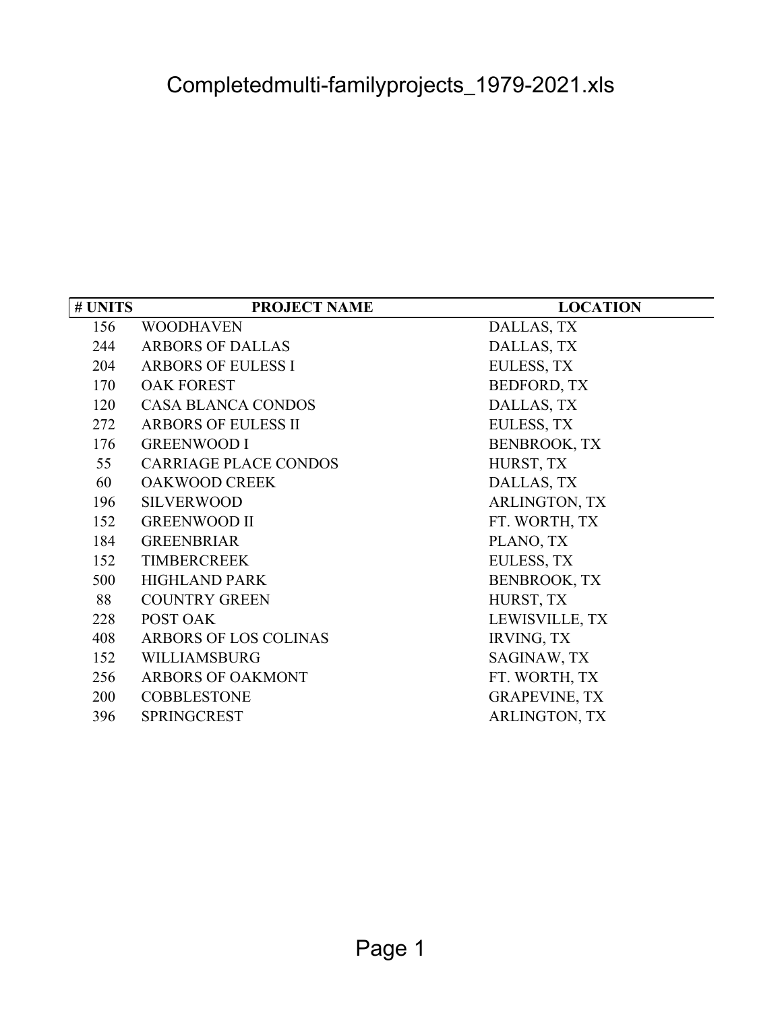| # UNITS | <b>PROJECT NAME</b>          | <b>LOCATION</b>      |
|---------|------------------------------|----------------------|
| 156     | <b>WOODHAVEN</b>             | DALLAS, TX           |
| 244     | <b>ARBORS OF DALLAS</b>      | DALLAS, TX           |
| 204     | <b>ARBORS OF EULESS I</b>    | EULESS, TX           |
| 170     | <b>OAK FOREST</b>            | <b>BEDFORD, TX</b>   |
| 120     | <b>CASA BLANCA CONDOS</b>    | DALLAS, TX           |
| 272     | <b>ARBORS OF EULESS II</b>   | EULESS, TX           |
| 176     | <b>GREENWOOD I</b>           | <b>BENBROOK, TX</b>  |
| 55      | <b>CARRIAGE PLACE CONDOS</b> | HURST, TX            |
| 60      | <b>OAKWOOD CREEK</b>         | DALLAS, TX           |
| 196     | <b>SILVERWOOD</b>            | <b>ARLINGTON, TX</b> |
| 152     | <b>GREENWOOD II</b>          | FT. WORTH, TX        |
| 184     | <b>GREENBRIAR</b>            | PLANO, TX            |
| 152     | <b>TIMBERCREEK</b>           | EULESS, TX           |
| 500     | <b>HIGHLAND PARK</b>         | <b>BENBROOK, TX</b>  |
| 88      | <b>COUNTRY GREEN</b>         | HURST, TX            |
| 228     | POST OAK                     | LEWISVILLE, TX       |
| 408     | ARBORS OF LOS COLINAS        | <b>IRVING, TX</b>    |
| 152     | WILLIAMSBURG                 | SAGINAW, TX          |
| 256     | ARBORS OF OAKMONT            | FT. WORTH, TX        |
| 200     | <b>COBBLESTONE</b>           | <b>GRAPEVINE, TX</b> |
| 396     | <b>SPRINGCREST</b>           | ARLINGTON, TX        |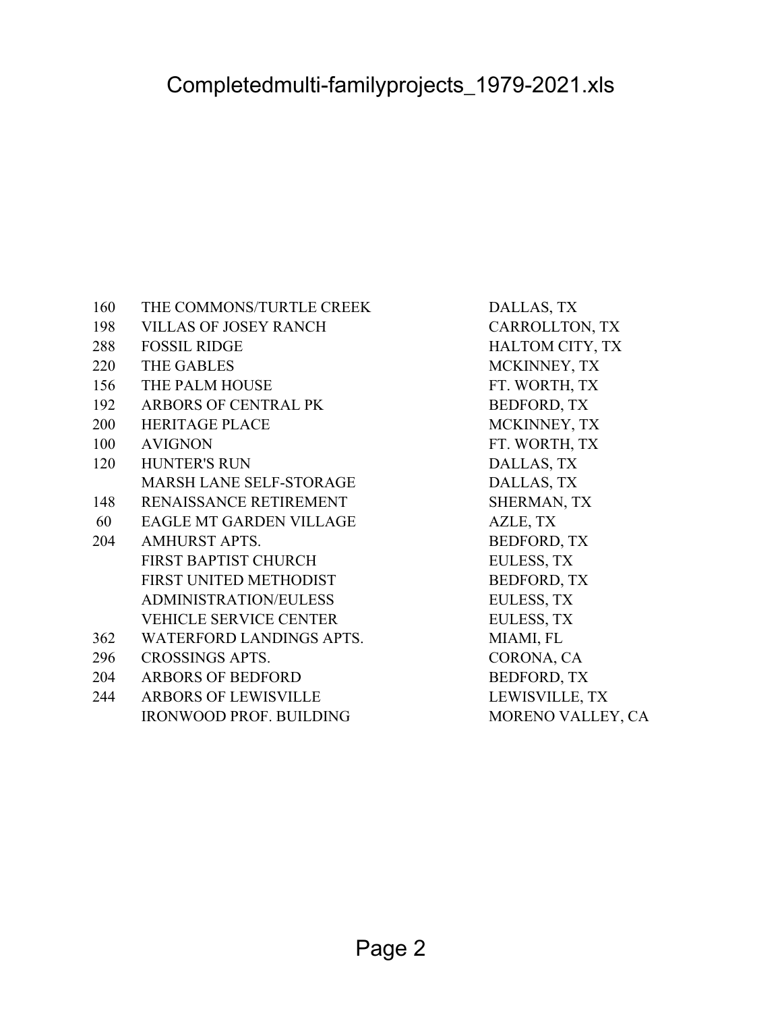| 160 | THE COMMONS/TURTLE CREEK       | DALLAS, TX         |
|-----|--------------------------------|--------------------|
| 198 | <b>VILLAS OF JOSEY RANCH</b>   | CARROLLTON, TX     |
| 288 | <b>FOSSIL RIDGE</b>            | HALTOM CITY, TX    |
| 220 | <b>THE GABLES</b>              | MCKINNEY, TX       |
| 156 | THE PALM HOUSE                 | FT. WORTH, TX      |
| 192 | ARBORS OF CENTRAL PK           | <b>BEDFORD, TX</b> |
| 200 | <b>HERITAGE PLACE</b>          | MCKINNEY, TX       |
| 100 | <b>AVIGNON</b>                 | FT. WORTH, TX      |
| 120 | <b>HUNTER'S RUN</b>            | DALLAS, TX         |
|     | <b>MARSH LANE SELF-STORAGE</b> | DALLAS, TX         |
| 148 | RENAISSANCE RETIREMENT         | SHERMAN, TX        |
| 60  | EAGLE MT GARDEN VILLAGE        | AZLE, TX           |
| 204 | <b>AMHURST APTS.</b>           | <b>BEDFORD, TX</b> |
|     | <b>FIRST BAPTIST CHURCH</b>    | EULESS, TX         |
|     | FIRST UNITED METHODIST         | <b>BEDFORD, TX</b> |
|     | <b>ADMINISTRATION/EULESS</b>   | EULESS, TX         |
|     | <b>VEHICLE SERVICE CENTER</b>  | <b>EULESS, TX</b>  |
| 362 | WATERFORD LANDINGS APTS.       | MIAMI, FL          |
| 296 | <b>CROSSINGS APTS.</b>         | CORONA, CA         |
| 204 | <b>ARBORS OF BEDFORD</b>       | <b>BEDFORD, TX</b> |
| 244 | <b>ARBORS OF LEWISVILLE</b>    | LEWISVILLE, TX     |
|     | <b>IRONWOOD PROF. BUILDING</b> | MORENO VALLEY, CA  |
|     |                                |                    |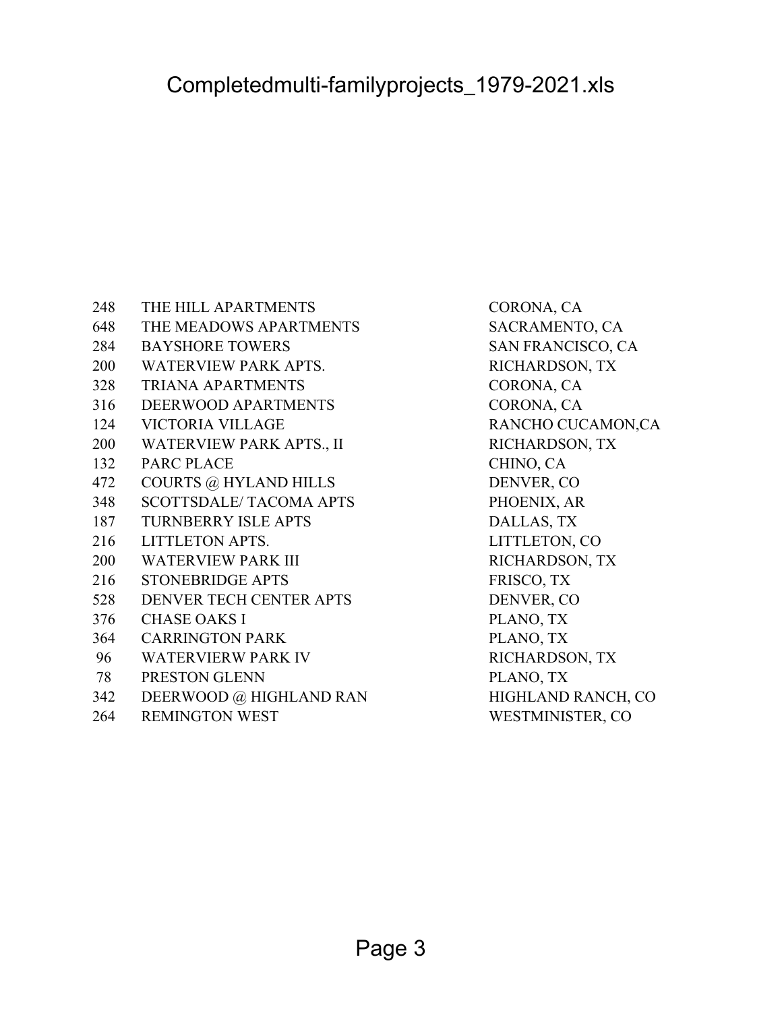HIGHLAND RANCH, CO

RANCHO CUCAMON,CA

| 248 | THE HILL APARTMENTS             | CORONA, CA            |
|-----|---------------------------------|-----------------------|
| 648 | THE MEADOWS APARTMENTS          | SACRAMENTO, CA        |
| 284 | <b>BAYSHORE TOWERS</b>          | SAN FRANCISCO, CA     |
| 200 | <b>WATERVIEW PARK APTS.</b>     | RICHARDSON, TX        |
| 328 | <b>TRIANA APARTMENTS</b>        | CORONA, CA            |
| 316 | DEERWOOD APARTMENTS             | CORONA, CA            |
| 124 | <b>VICTORIA VILLAGE</b>         | <b>RANCHO CUCAMON</b> |
| 200 | <b>WATERVIEW PARK APTS., II</b> | RICHARDSON, TX        |
| 132 | <b>PARC PLACE</b>               | CHINO, CA             |
| 472 | <b>COURTS @ HYLAND HILLS</b>    | DENVER, CO            |
| 348 | <b>SCOTTSDALE/ TACOMA APTS</b>  | PHOENIX, AR           |
| 187 | <b>TURNBERRY ISLE APTS</b>      | DALLAS, TX            |
| 216 | LITTLETON APTS.                 | LITTLETON, CO         |
| 200 | <b>WATERVIEW PARK III</b>       | RICHARDSON, TX        |
| 216 | <b>STONEBRIDGE APTS</b>         | FRISCO, TX            |
| 528 | DENVER TECH CENTER APTS         | DENVER, CO            |
| 376 | <b>CHASE OAKS I</b>             | PLANO, TX             |
| 364 | <b>CARRINGTON PARK</b>          | PLANO, TX             |
| 96  | <b>WATERVIERW PARK IV</b>       | RICHARDSON, TX        |
| 78  | PRESTON GLENN                   | PLANO, TX             |
| 342 | DEERWOOD @ HIGHLAND RAN         | HIGHLAND RANCH,       |
| 264 | <b>REMINGTON WEST</b>           | WESTMINISTER, CO      |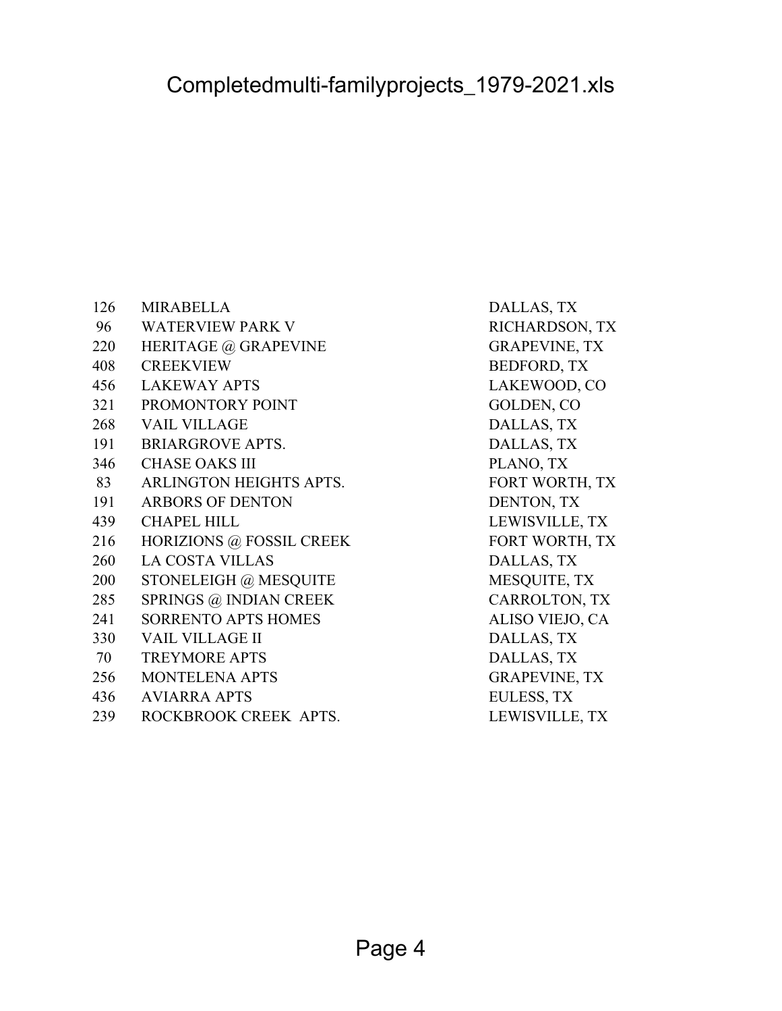| 126 | <b>MIRABELLA</b>           | DALLAS, TX           |
|-----|----------------------------|----------------------|
| 96  | <b>WATERVIEW PARK V</b>    | RICHARDSON, TX       |
| 220 | HERITAGE @ GRAPEVINE       | <b>GRAPEVINE, TX</b> |
| 408 | <b>CREEKVIEW</b>           | <b>BEDFORD, TX</b>   |
| 456 | <b>LAKEWAY APTS</b>        | LAKEWOOD, CO         |
| 321 | PROMONTORY POINT           | GOLDEN, CO           |
| 268 | <b>VAIL VILLAGE</b>        | DALLAS, TX           |
| 191 | <b>BRIARGROVE APTS.</b>    | DALLAS, TX           |
| 346 | <b>CHASE OAKS III</b>      | PLANO, TX            |
| 83  | ARLINGTON HEIGHTS APTS.    | FORT WORTH, TX       |
| 191 | <b>ARBORS OF DENTON</b>    | DENTON, TX           |
| 439 | <b>CHAPEL HILL</b>         | LEWISVILLE, TX       |
| 216 | HORIZIONS @ FOSSIL CREEK   | FORT WORTH, TX       |
| 260 | <b>LA COSTA VILLAS</b>     | DALLAS, TX           |
| 200 | STONELEIGH @ MESQUITE      | MESQUITE, TX         |
| 285 | SPRINGS @ INDIAN CREEK     | CARROLTON, TX        |
| 241 | <b>SORRENTO APTS HOMES</b> | ALISO VIEJO, CA      |
| 330 | <b>VAIL VILLAGE II</b>     | DALLAS, TX           |
| 70  | <b>TREYMORE APTS</b>       | DALLAS, TX           |
| 256 | <b>MONTELENA APTS</b>      | <b>GRAPEVINE, TX</b> |
| 436 | <b>AVIARRA APTS</b>        | <b>EULESS, TX</b>    |
| 239 | ROCKBROOK CREEK APTS.      | LEWISVILLE, TX       |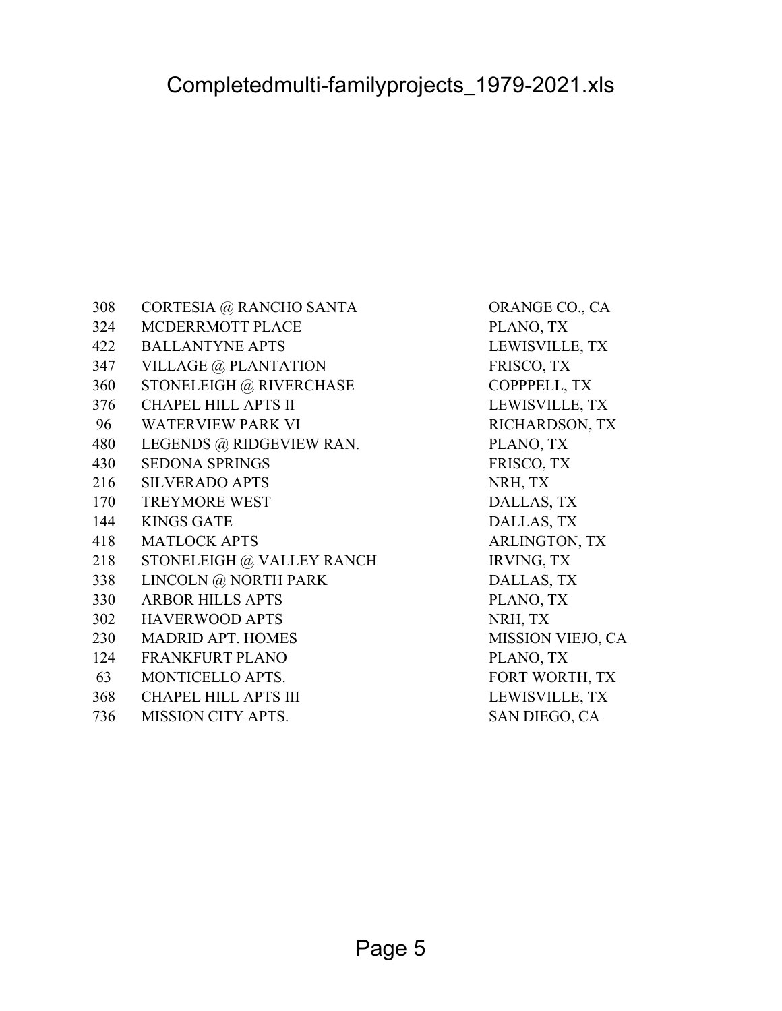| 308 | CORTESIA @ RANCHO SANTA     | ORANGE CO., C.       |
|-----|-----------------------------|----------------------|
| 324 | MCDERRMOTT PLACE            | PLANO, TX            |
| 422 | <b>BALLANTYNE APTS</b>      | LEWISVILLE, TY       |
| 347 | VILLAGE @ PLANTATION        | FRISCO, TX           |
| 360 | STONELEIGH @ RIVERCHASE     | COPPPELL, TX         |
| 376 | <b>CHAPEL HILL APTS II</b>  | LEWISVILLE, TY       |
| 96  | <b>WATERVIEW PARK VI</b>    | RICHARDSON, T        |
| 480 | LEGENDS @ RIDGEVIEW RAN.    | PLANO, TX            |
| 430 | <b>SEDONA SPRINGS</b>       | FRISCO, TX           |
| 216 | <b>SILVERADO APTS</b>       | NRH, TX              |
| 170 | <b>TREYMORE WEST</b>        | DALLAS, TX           |
| 144 | <b>KINGS GATE</b>           | DALLAS, TX           |
| 418 | <b>MATLOCK APTS</b>         | <b>ARLINGTON, TX</b> |
| 218 | STONELEIGH @ VALLEY RANCH   | <b>IRVING, TX</b>    |
| 338 | LINCOLN @ NORTH PARK        | DALLAS, TX           |
| 330 | <b>ARBOR HILLS APTS</b>     | PLANO, TX            |
| 302 | <b>HAVERWOOD APTS</b>       | NRH, TX              |
| 230 | <b>MADRID APT. HOMES</b>    | MISSION VIEJO,       |
| 124 | FRANKFURT PLANO             | PLANO, TX            |
| 63  | MONTICELLO APTS.            | FORT WORTH, T        |
| 368 | <b>CHAPEL HILL APTS III</b> | LEWISVILLE, TY       |
| 736 | <b>MISSION CITY APTS.</b>   | SAN DIEGO, CA        |

ORANGE CO., CA PLANO, TX LEWISVILLE, TX FRISCO, TX COPPPELL, TX LEWISVILLE, TX RICHARDSON, TX PLANO, TX FRISCO, TX NRH, TX DALLAS, TX DALLAS, TX ARLINGTON, TX IRVING, TX DALLAS, TX PLANO, TX NRH, TX MISSION VIEJO, CA PLANO, TX FORT WORTH, TX LEWISVILLE, TX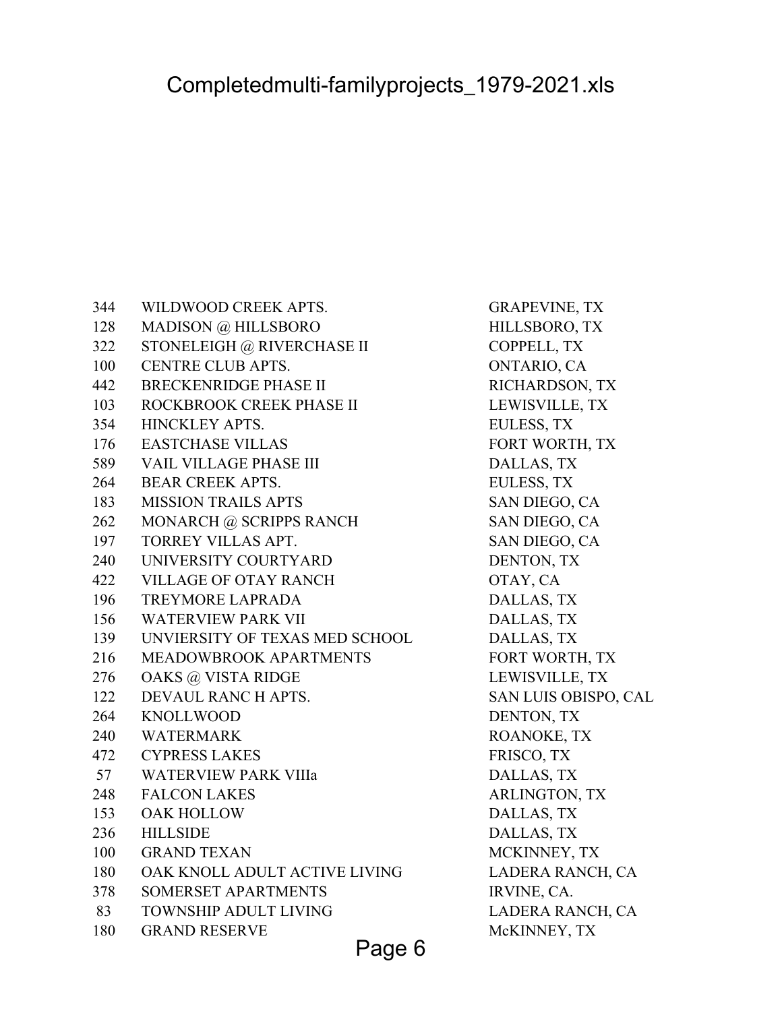344 WILDWOOD CREEK APTS. GRAPEVINE, TX 128 MADISON @ HILLSBORO HILLSBORO, TX 322 STONELEIGH @ RIVERCHASE II COPPELL, TX 100 CENTRE CLUB APTS. ONTARIO, CA 442 BRECKENRIDGE PHASE II RICHARDSON, TX 103 ROCKBROOK CREEK PHASE II LEWISVILLE, TX 354 HINCKLEY APTS. EULESS, TX 176 EASTCHASE VILLAS FORT WORTH, TX 589 VAIL VILLAGE PHASE III DALLAS, TX 264 BEAR CREEK APTS. EULESS, TX 183 MISSION TRAILS APTS SAN DIEGO, CA 262 MONARCH @ SCRIPPS RANCH SAN DIEGO, CA 197 TORREY VILLAS APT. SAN DIEGO, CA 240 UNIVERSITY COURTYARD DENTON, TX 422 VILLAGE OF OTAY RANCH OTAY, CA 196 TREYMORE LAPRADA DALLAS, TX 156 WATERVIEW PARK VII DALLAS, TX 139 UNVIERSITY OF TEXAS MED SCHOOL DALLAS, TX 216 MEADOWBROOK APARTMENTS FORT WORTH, TX 276 OAKS @ VISTA RIDGE LEWISVILLE, TX 122 DEVAUL RANC H APTS. SAN LUIS OBISPO, CAL 264 KNOLLWOOD DENTON, TX 240 WATERMARK ROANOKE, TX 472 CYPRESS LAKES FRISCO, TX 57 WATERVIEW PARK VIIIa DALLAS, TX 248 FALCON LAKES ARLINGTON, TX 153 OAK HOLLOW DALLAS, TX 236 HILLSIDE DALLAS, TX 100 GRAND TEXAN MCKINNEY, TX 180 OAK KNOLL ADULT ACTIVE LIVING LADERA RANCH, CA 378 SOMERSET APARTMENTS IRVINE, CA. 83 TOWNSHIP ADULT LIVING LADERA RANCH, CA 180 GRAND RESERVE McKINNEY, TX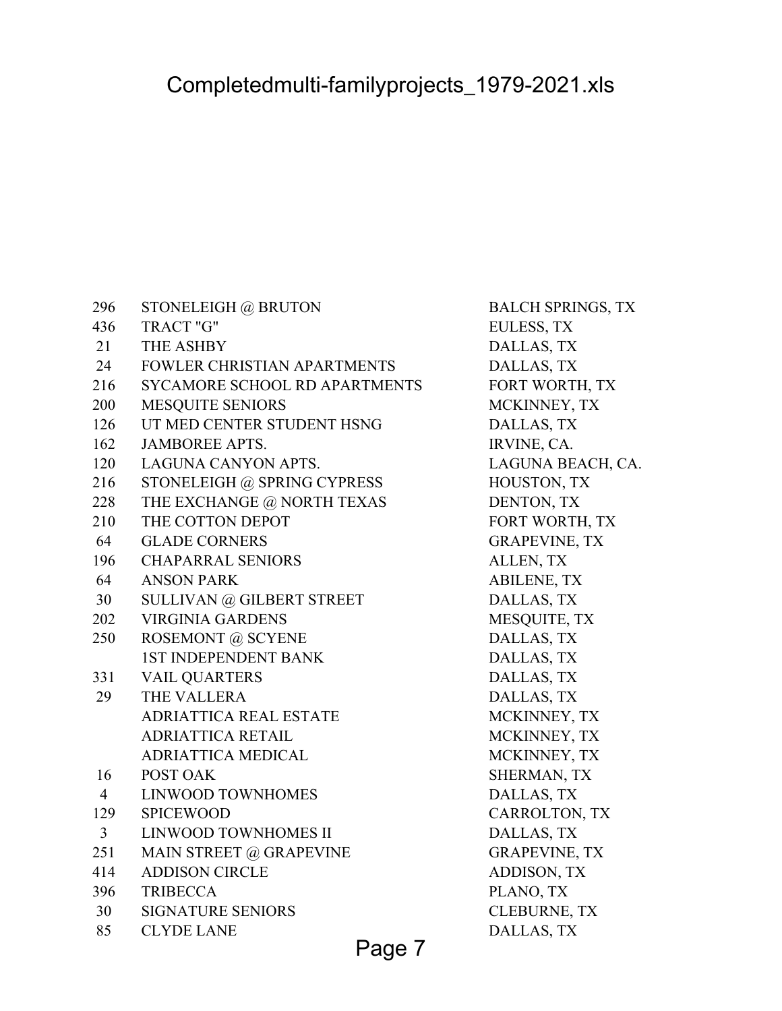| 296            | STONELEIGH @ BRUTON                | <b>BALCH SPRINGS, TX</b> |
|----------------|------------------------------------|--------------------------|
| 436            | TRACT "G"                          | EULESS, TX               |
| 21             | THE ASHBY                          | DALLAS, TX               |
| 24             | <b>FOWLER CHRISTIAN APARTMENTS</b> | DALLAS, TX               |
| 216            | SYCAMORE SCHOOL RD APARTMENTS      | FORT WORTH, TX           |
| 200            | MESQUITE SENIORS                   | MCKINNEY, TX             |
| 126            | UT MED CENTER STUDENT HSNG         | DALLAS, TX               |
| 162            | <b>JAMBOREE APTS.</b>              | IRVINE, CA.              |
| 120            | LAGUNA CANYON APTS.                | LAGUNA BEACH, CA.        |
| 216            | STONELEIGH @ SPRING CYPRESS        | HOUSTON, TX              |
| 228            | THE EXCHANGE @ NORTH TEXAS         | DENTON, TX               |
| 210            | THE COTTON DEPOT                   | FORT WORTH, TX           |
| 64             | <b>GLADE CORNERS</b>               | <b>GRAPEVINE, TX</b>     |
| 196            | <b>CHAPARRAL SENIORS</b>           | ALLEN, TX                |
| 64             | <b>ANSON PARK</b>                  | <b>ABILENE, TX</b>       |
| 30             | SULLIVAN @ GILBERT STREET          | DALLAS, TX               |
| 202            | <b>VIRGINIA GARDENS</b>            | MESQUITE, TX             |
| 250            | ROSEMONT @ SCYENE                  | DALLAS, TX               |
|                | <b>1ST INDEPENDENT BANK</b>        | DALLAS, TX               |
| 331            | <b>VAIL QUARTERS</b>               | DALLAS, TX               |
| 29             | THE VALLERA                        | DALLAS, TX               |
|                | <b>ADRIATTICA REAL ESTATE</b>      | MCKINNEY, TX             |
|                | ADRIATTICA RETAIL                  | MCKINNEY, TX             |
|                | <b>ADRIATTICA MEDICAL</b>          | MCKINNEY, TX             |
| 16             | POST OAK                           | SHERMAN, TX              |
| $\overline{4}$ | <b>LINWOOD TOWNHOMES</b>           | DALLAS, TX               |
| 129            | <b>SPICEWOOD</b>                   | CARROLTON, TX            |
| 3              | LINWOOD TOWNHOMES II               | DALLAS, TX               |
| 251            | MAIN STREET @ GRAPEVINE            | <b>GRAPEVINE, TX</b>     |
| 414            | <b>ADDISON CIRCLE</b>              | ADDISON, TX              |
| 396            | <b>TRIBECCA</b>                    | PLANO, TX                |
| 30             | <b>SIGNATURE SENIORS</b>           | <b>CLEBURNE, TX</b>      |
| 85             | <b>CLYDE LANE</b>                  | DALLAS, TX               |

Page 7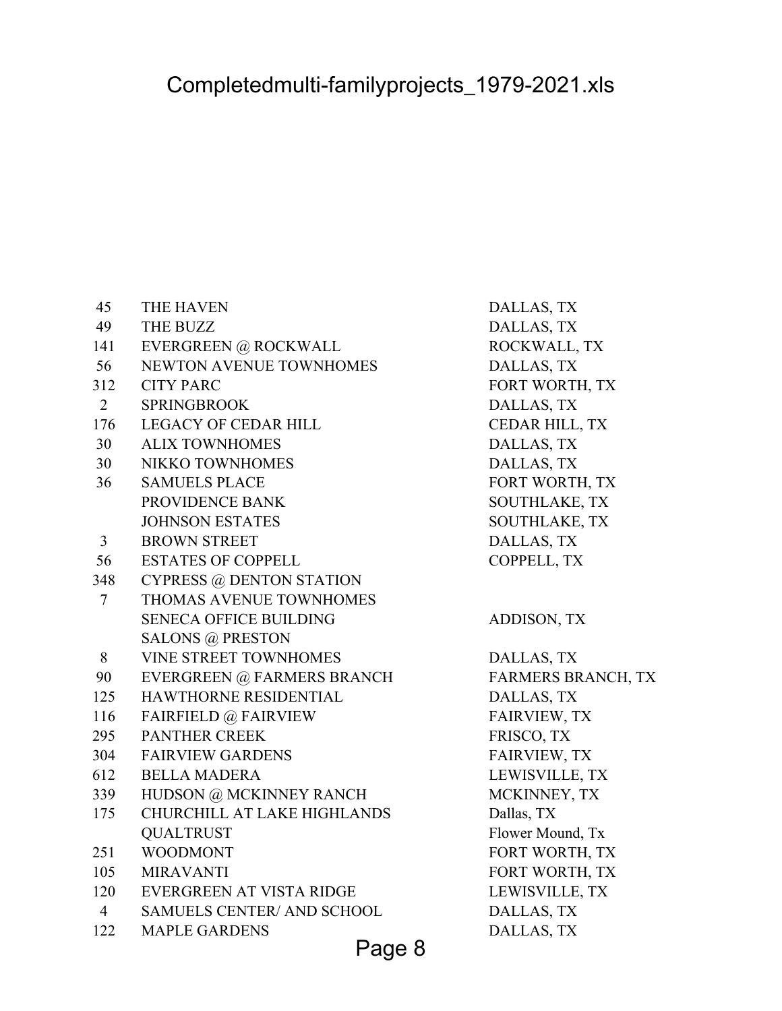| 45             | THE HAVEN                         | DALLAS, TX                |
|----------------|-----------------------------------|---------------------------|
| 49             | <b>THE BUZZ</b>                   | DALLAS, TX                |
| 141            | EVERGREEN @ ROCKWALL              | ROCKWALL, TX              |
| 56             | <b>NEWTON AVENUE TOWNHOMES</b>    | DALLAS, TX                |
| 312            | <b>CITY PARC</b>                  | FORT WORTH, TX            |
| $\overline{2}$ | <b>SPRINGBROOK</b>                | DALLAS, TX                |
| 176            | <b>LEGACY OF CEDAR HILL</b>       | CEDAR HILL, TX            |
| 30             | <b>ALIX TOWNHOMES</b>             | DALLAS, TX                |
| 30             | <b>NIKKO TOWNHOMES</b>            | DALLAS, TX                |
| 36             | <b>SAMUELS PLACE</b>              | FORT WORTH, TX            |
|                | PROVIDENCE BANK                   | <b>SOUTHLAKE, TX</b>      |
|                | <b>JOHNSON ESTATES</b>            | <b>SOUTHLAKE, TX</b>      |
| $\mathfrak{Z}$ | <b>BROWN STREET</b>               | DALLAS, TX                |
| 56             | <b>ESTATES OF COPPELL</b>         | COPPELL, TX               |
| 348            | <b>CYPRESS @ DENTON STATION</b>   |                           |
| $\tau$         | THOMAS AVENUE TOWNHOMES           |                           |
|                | <b>SENECA OFFICE BUILDING</b>     | <b>ADDISON, TX</b>        |
|                | <b>SALONS @ PRESTON</b>           |                           |
| 8              | <b>VINE STREET TOWNHOMES</b>      | DALLAS, TX                |
| 90             | EVERGREEN @ FARMERS BRANCH        | <b>FARMERS BRANCH, TX</b> |
| 125            | HAWTHORNE RESIDENTIAL             | DALLAS, TX                |
| 116            | <b>FAIRFIELD @ FAIRVIEW</b>       | <b>FAIRVIEW, TX</b>       |
| 295            | PANTHER CREEK                     | FRISCO, TX                |
| 304            | <b>FAIRVIEW GARDENS</b>           | <b>FAIRVIEW, TX</b>       |
| 612            | <b>BELLA MADERA</b>               | LEWISVILLE, TX            |
| 339            | HUDSON @ MCKINNEY RANCH           | MCKINNEY, TX              |
| 175            | CHURCHILL AT LAKE HIGHLANDS       | Dallas, TX                |
|                | <b>QUALTRUST</b>                  | Flower Mound, Tx          |
| 251            | <b>WOODMONT</b>                   | FORT WORTH, TX            |
| 105            | <b>MIRAVANTI</b>                  | FORT WORTH, TX            |
| 120            | EVERGREEN AT VISTA RIDGE          | LEWISVILLE, TX            |
| $\overline{4}$ | <b>SAMUELS CENTER/ AND SCHOOL</b> | DALLAS, TX                |
| 122            | <b>MAPLE GARDENS</b>              | DALLAS, TX                |

Page 8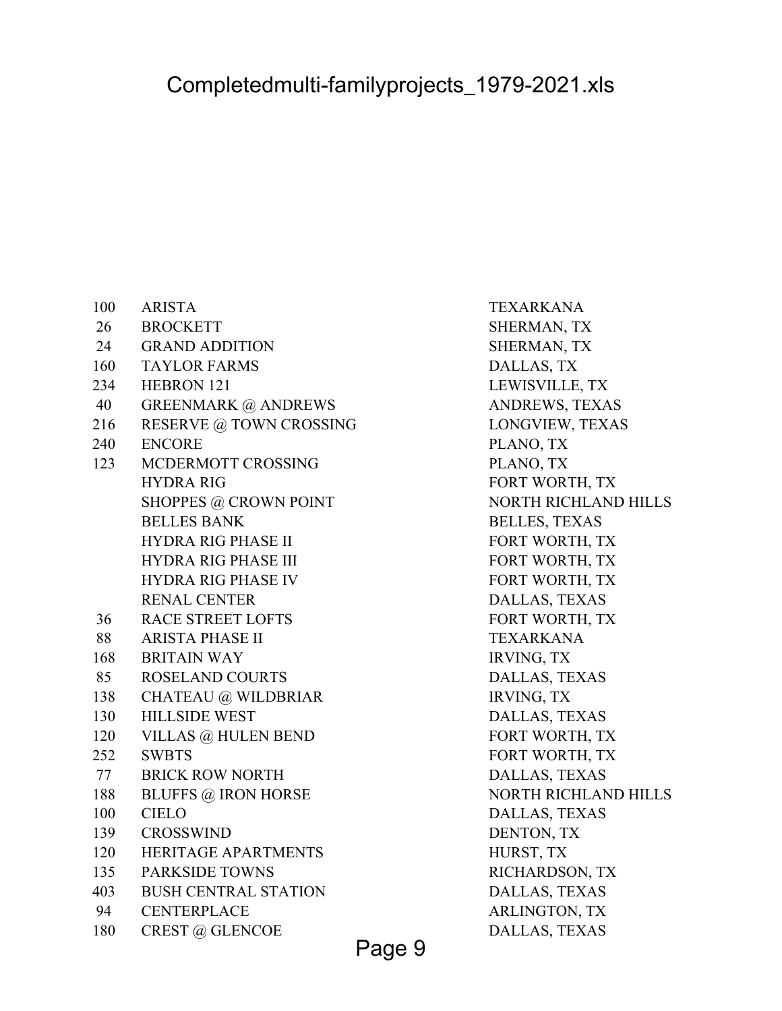| 100 | <b>ARISTA</b>               | <b>TEXARKANA</b>     |
|-----|-----------------------------|----------------------|
| 26  | <b>BROCKETT</b>             | <b>SHERMAN, TX</b>   |
| 24  | <b>GRAND ADDITION</b>       | SHERMAN, TX          |
| 160 | <b>TAYLOR FARMS</b>         | DALLAS, TX           |
| 234 | <b>HEBRON 121</b>           | LEWISVILLE, TX       |
| 40  | <b>GREENMARK @ ANDREWS</b>  | ANDREWS, TEXA        |
| 216 | RESERVE @ TOWN CROSSING     | LONGVIEW, TEX        |
| 240 | <b>ENCORE</b>               | PLANO, TX            |
| 123 | MCDERMOTT CROSSING          | PLANO, TX            |
|     | <b>HYDRA RIG</b>            | FORT WORTH, T.       |
|     | SHOPPES @ CROWN POINT       | <b>NORTH RICHLAN</b> |
|     | <b>BELLES BANK</b>          | <b>BELLES, TEXAS</b> |
|     | <b>HYDRA RIG PHASE II</b>   | FORT WORTH, T.       |
|     | HYDRA RIG PHASE III         | FORT WORTH, T.       |
|     | <b>HYDRA RIG PHASE IV</b>   | FORT WORTH, T.       |
|     | <b>RENAL CENTER</b>         | DALLAS, TEXAS        |
| 36  | <b>RACE STREET LOFTS</b>    | FORT WORTH, T.       |
| 88  | <b>ARISTA PHASE II</b>      | <b>TEXARKANA</b>     |
| 168 | <b>BRITAIN WAY</b>          | <b>IRVING, TX</b>    |
| 85  | <b>ROSELAND COURTS</b>      | DALLAS, TEXAS        |
| 138 | <b>CHATEAU</b> @ WILDBRIAR  | <b>IRVING, TX</b>    |
| 130 | <b>HILLSIDE WEST</b>        | DALLAS, TEXAS        |
| 120 | VILLAS @ HULEN BEND         | FORT WORTH, T.       |
| 252 | <b>SWBTS</b>                | FORT WORTH, T.       |
| 77  | <b>BRICK ROW NORTH</b>      | DALLAS, TEXAS        |
| 188 | <b>BLUFFS @ IRON HORSE</b>  | <b>NORTH RICHLAN</b> |
| 100 | <b>CIELO</b>                | DALLAS, TEXAS        |
| 139 | <b>CROSSWIND</b>            | DENTON, TX           |
| 120 | HERITAGE APARTMENTS         | HURST, TX            |
| 135 | <b>PARKSIDE TOWNS</b>       | RICHARDSON, T.       |
| 403 | <b>BUSH CENTRAL STATION</b> | DALLAS, TEXAS        |
| 94  | <b>CENTERPLACE</b>          | ARLINGTON, TX        |
| 180 | CREST @ GLENCOE             | DALLAS, TEXAS        |

TEXARKANA SHERMAN, TX SHERMAN, TX DALLAS, TX LEWISVILLE, TX ANDREWS, TEXAS LONGVIEW, TEXAS PLANO, TX PLANO, TX FORT WORTH, TX NORTH RICHLAND HILLS BELLES, TEXAS FORT WORTH, TX FORT WORTH, TX FORT WORTH, TX DALLAS, TEXAS FORT WORTH, TX TEXARKANA IRVING, TX DALLAS, TEXAS IRVING, TX DALLAS, TEXAS FORT WORTH, TX FORT WORTH, TX DALLAS, TEXAS NORTH RICHLAND HILLS DALLAS, TEXAS DENTON, TX HURST, TX RICHARDSON, TX DALLAS, TEXAS ARLINGTON, TX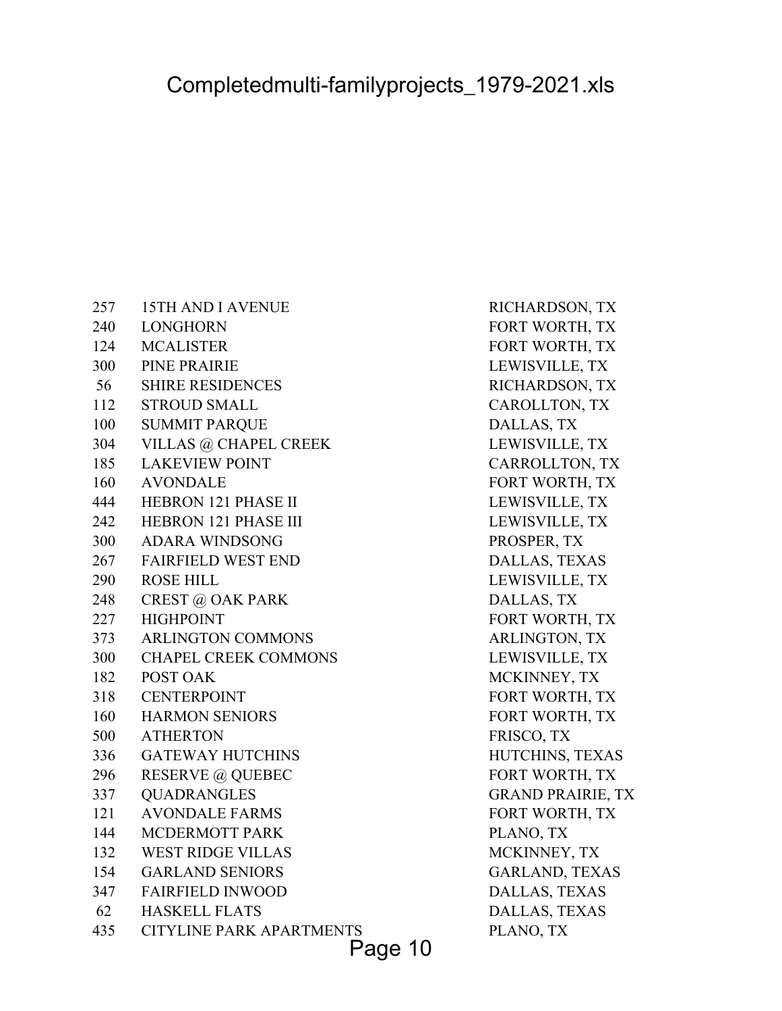257 15TH AND I AVENUE RICHARDSON, TX 240 LONGHORN FORT WORTH, TX 124 MCALISTER FORT WORTH, TX 300 PINE PRAIRIE LEWISVILLE, TX 56 SHIRE RESIDENCES RICHARDSON, TX 112 STROUD SMALL CAROLLTON, TX 100 SUMMIT PARQUE DALLAS, TX 304 VILLAS @ CHAPEL CREEK LEWISVILLE, TX 185 LAKEVIEW POINT CARROLLTON, TX 160 AVONDALE FORT WORTH, TX 444 HEBRON 121 PHASE II LEWISVILLE, TX 242 HEBRON 121 PHASE III LEWISVILLE, TX 300 ADARA WINDSONG PROSPER, TX 267 FAIRFIELD WEST END DALLAS, TEXAS 290 ROSE HILL LEWISVILLE, TX 248 CREST @ OAK PARK DALLAS, TX 227 HIGHPOINT FORT WORTH, TX 373 ARLINGTON COMMONS ARLINGTON, TX 300 CHAPEL CREEK COMMONS LEWISVILLE, TX 182 POST OAK MCKINNEY, TX 318 CENTERPOINT FORT WORTH, TX 160 HARMON SENIORS FORT WORTH, TX 500 ATHERTON FRISCO, TX 336 GATEWAY HUTCHINS HUTCHINS, TEXAS 296 RESERVE @ QUEBEC FORT WORTH, TX 337 QUADRANGLES GRAND PRAIRIE, TX 121 AVONDALE FARMS FORT WORTH, TX 144 MCDERMOTT PARK PLANO, TX 132 WEST RIDGE VILLAS MCKINNEY, TX 154 GARLAND SENIORS GARLAND, TEXAS 347 FAIRFIELD INWOOD DALLAS, TEXAS 62 HASKELL FLATS DALLAS, TEXAS 435 CITYLINE PARK APARTMENTS PLANO, TX

Page 10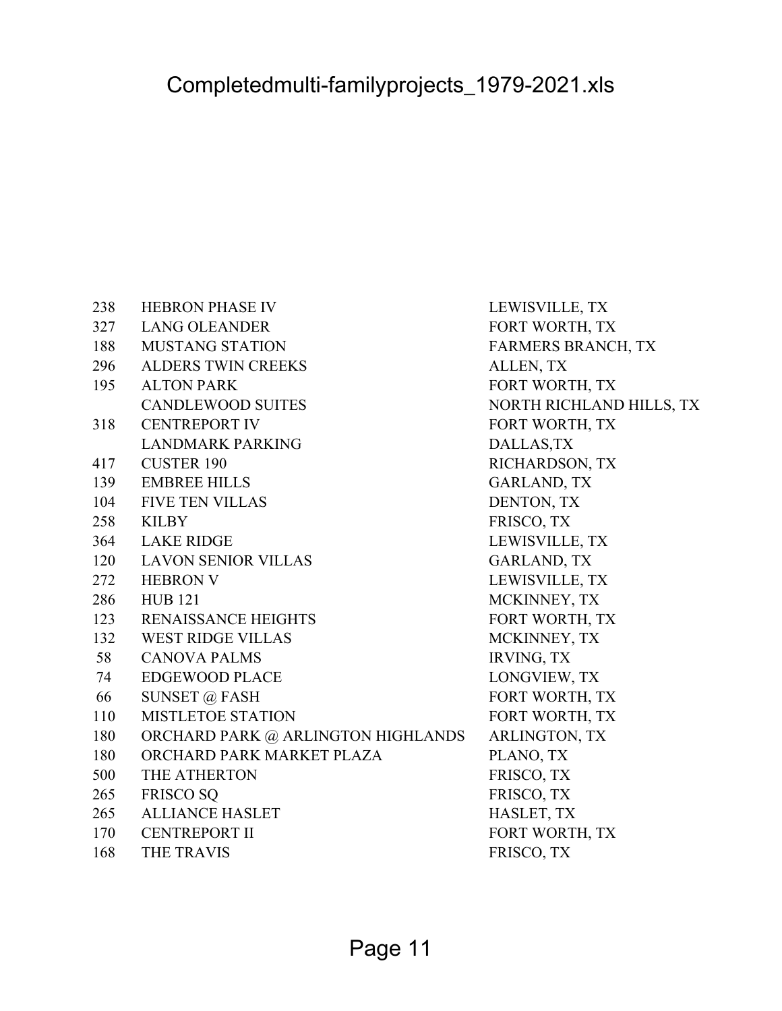238 HEBRON PHASE IV LEWISVILLE, TX 327 LANG OLEANDER FORT WORTH, TX 188 MUSTANG STATION FARMERS BRANCH, TX 296 ALDERS TWIN CREEKS ALLEN, TX 195 ALTON PARK FORT WORTH, TX CANDLEWOOD SUITES NORTH RICHLAND HILLS, TX 318 CENTREPORT IV FORT WORTH, TX LANDMARK PARKING DALLAS, TX 417 CUSTER 190 RICHARDSON, TX 139 EMBREE HILLS GARLAND, TX 104 FIVE TEN VILLAS DENTON, TX 258 KILBY FRISCO, TX 364 LAKE RIDGE LEWISVILLE, TX 120 LAVON SENIOR VILLAS GARLAND, TX 272 HEBRON V LEWISVILLE, TX 286 HUB 121 MCKINNEY, TX 123 RENAISSANCE HEIGHTS FORT WORTH, TX 132 WEST RIDGE VILLAS MCKINNEY, TX 58 CANOVA PALMS IRVING, TX 74 EDGEWOOD PLACE LONGVIEW, TX 66 SUNSET @ FASH FORT WORTH, TX 110 MISTLETOE STATION FORT WORTH, TX 180 ORCHARD PARK @ ARLINGTON HIGHLANDS ARLINGTON, TX 180 ORCHARD PARK MARKET PLAZA PLANO, TX 500 THE ATHERTON FRISCO, TX 265 FRISCO SO **FRISCO, TX** 265 ALLIANCE HASLET HASLET, TX 170 CENTREPORT II FORT WORTH, TX 168 THE TRAVIS FRISCO, TX